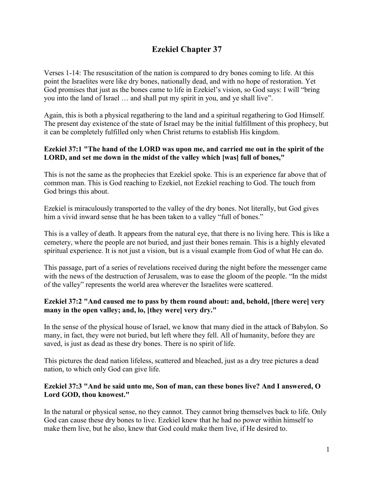# **Ezekiel Chapter 37**

Verses 1-14: The resuscitation of the nation is compared to dry bones coming to life. At this point the Israelites were like dry bones, nationally dead, and with no hope of restoration. Yet God promises that just as the bones came to life in Ezekiel's vision, so God says: I will "bring you into the land of Israel … and shall put my spirit in you, and ye shall live".

Again, this is both a physical regathering to the land and a spiritual regathering to God Himself. The present day existence of the state of Israel may be the initial fulfillment of this prophecy, but it can be completely fulfilled only when Christ returns to establish His kingdom.

## **Ezekiel 37:1 "The hand of the LORD was upon me, and carried me out in the spirit of the LORD, and set me down in the midst of the valley which [was] full of bones,"**

This is not the same as the prophecies that Ezekiel spoke. This is an experience far above that of common man. This is God reaching to Ezekiel, not Ezekiel reaching to God. The touch from God brings this about.

Ezekiel is miraculously transported to the valley of the dry bones. Not literally, but God gives him a vivid inward sense that he has been taken to a valley "full of bones."

This is a valley of death. It appears from the natural eye, that there is no living here. This is like a cemetery, where the people are not buried, and just their bones remain. This is a highly elevated spiritual experience. It is not just a vision, but is a visual example from God of what He can do.

This passage, part of a series of revelations received during the night before the messenger came with the news of the destruction of Jerusalem, was to ease the gloom of the people. "In the midst of the valley" represents the world area wherever the Israelites were scattered.

## **Ezekiel 37:2 "And caused me to pass by them round about: and, behold, [there were] very many in the open valley; and, lo, [they were] very dry."**

In the sense of the physical house of Israel, we know that many died in the attack of Babylon. So many, in fact, they were not buried, but left where they fell. All of humanity, before they are saved, is just as dead as these dry bones. There is no spirit of life.

This pictures the dead nation lifeless, scattered and bleached, just as a dry tree pictures a dead nation, to which only God can give life.

## **Ezekiel 37:3 "And he said unto me, Son of man, can these bones live? And I answered, O Lord GOD, thou knowest."**

In the natural or physical sense, no they cannot. They cannot bring themselves back to life. Only God can cause these dry bones to live. Ezekiel knew that he had no power within himself to make them live, but he also, knew that God could make them live, if He desired to.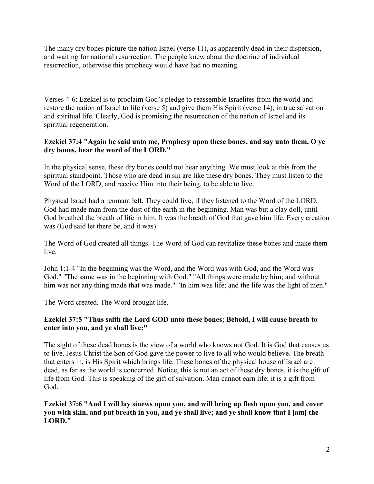The many dry bones picture the nation Israel (verse 11), as apparently dead in their dispersion, and waiting for national resurrection. The people knew about the doctrine of individual resurrection, otherwise this prophecy would have had no meaning.

Verses 4-6: Ezekiel is to proclaim God's pledge to reassemble Israelites from the world and restore the nation of Israel to life (verse 5) and give them His Spirit (verse 14), in true salvation and spiritual life. Clearly, God is promising the resurrection of the nation of Israel and its spiritual regeneration.

## **Ezekiel 37:4 "Again he said unto me, Prophesy upon these bones, and say unto them, O ye dry bones, hear the word of the LORD."**

In the physical sense, these dry bones could not hear anything. We must look at this from the spiritual standpoint. Those who are dead in sin are like these dry bones. They must listen to the Word of the LORD, and receive Him into their being, to be able to live.

Physical Israel had a remnant left. They could live, if they listened to the Word of the LORD. God had made man from the dust of the earth in the beginning. Man was but a clay doll, until God breathed the breath of life in him. It was the breath of God that gave him life. Every creation was (God said let there be, and it was).

The Word of God created all things. The Word of God can revitalize these bones and make them live.

John 1:1-4 "In the beginning was the Word, and the Word was with God, and the Word was God." "The same was in the beginning with God." "All things were made by him; and without him was not any thing made that was made." "In him was life; and the life was the light of men."

The Word created. The Word brought life.

## **Ezekiel 37:5 "Thus saith the Lord GOD unto these bones; Behold, I will cause breath to enter into you, and ye shall live:"**

The sight of these dead bones is the view of a world who knows not God. It is God that causes us to live. Jesus Christ the Son of God gave the power to live to all who would believe. The breath that enters in, is His Spirit which brings life. These bones of the physical house of Israel are dead, as far as the world is concerned. Notice, this is not an act of these dry bones, it is the gift of life from God. This is speaking of the gift of salvation. Man cannot earn life; it is a gift from God.

**Ezekiel 37:6 "And I will lay sinews upon you, and will bring up flesh upon you, and cover you with skin, and put breath in you, and ye shall live; and ye shall know that I [am] the LORD."**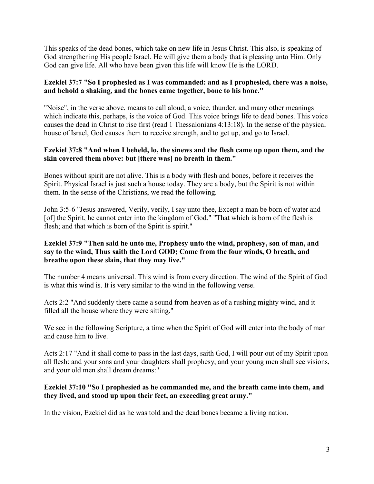This speaks of the dead bones, which take on new life in Jesus Christ. This also, is speaking of God strengthening His people Israel. He will give them a body that is pleasing unto Him. Only God can give life. All who have been given this life will know He is the LORD.

## **Ezekiel 37:7 "So I prophesied as I was commanded: and as I prophesied, there was a noise, and behold a shaking, and the bones came together, bone to his bone."**

"Noise", in the verse above, means to call aloud, a voice, thunder, and many other meanings which indicate this, perhaps, is the voice of God. This voice brings life to dead bones. This voice causes the dead in Christ to rise first (read 1 Thessalonians 4:13:18). In the sense of the physical house of Israel, God causes them to receive strength, and to get up, and go to Israel.

## **Ezekiel 37:8 "And when I beheld, lo, the sinews and the flesh came up upon them, and the skin covered them above: but [there was] no breath in them."**

Bones without spirit are not alive. This is a body with flesh and bones, before it receives the Spirit. Physical Israel is just such a house today. They are a body, but the Spirit is not within them. In the sense of the Christians, we read the following.

John 3:5-6 "Jesus answered, Verily, verily, I say unto thee, Except a man be born of water and [of] the Spirit, he cannot enter into the kingdom of God." "That which is born of the flesh is flesh; and that which is born of the Spirit is spirit."

## **Ezekiel 37:9 "Then said he unto me, Prophesy unto the wind, prophesy, son of man, and say to the wind, Thus saith the Lord GOD; Come from the four winds, O breath, and breathe upon these slain, that they may live."**

The number 4 means universal. This wind is from every direction. The wind of the Spirit of God is what this wind is. It is very similar to the wind in the following verse.

Acts 2:2 "And suddenly there came a sound from heaven as of a rushing mighty wind, and it filled all the house where they were sitting."

We see in the following Scripture, a time when the Spirit of God will enter into the body of man and cause him to live.

Acts 2:17 "And it shall come to pass in the last days, saith God, I will pour out of my Spirit upon all flesh: and your sons and your daughters shall prophesy, and your young men shall see visions, and your old men shall dream dreams:"

## **Ezekiel 37:10 "So I prophesied as he commanded me, and the breath came into them, and they lived, and stood up upon their feet, an exceeding great army."**

In the vision, Ezekiel did as he was told and the dead bones became a living nation.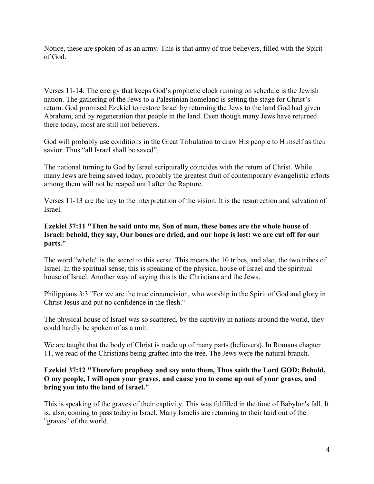Notice, these are spoken of as an army. This is that army of true believers, filled with the Spirit of God.

Verses 11-14: The energy that keeps God's prophetic clock running on schedule is the Jewish nation. The gathering of the Jews to a Palestinian homeland is setting the stage for Christ's return. God promised Ezekiel to restore Israel by returning the Jews to the land God had given Abraham, and by regeneration that people in the land. Even though many Jews have returned there today, most are still not believers.

God will probably use conditions in the Great Tribulation to draw His people to Himself as their savior. Thus "all Israel shall be saved".

The national turning to God by Israel scripturally coincides with the return of Christ. While many Jews are being saved today, probably the greatest fruit of contemporary evangelistic efforts among them will not be reaped until after the Rapture.

Verses 11-13 are the key to the interpretation of the vision. It is the resurrection and salvation of Israel.

## **Ezekiel 37:11 "Then he said unto me, Son of man, these bones are the whole house of Israel: behold, they say, Our bones are dried, and our hope is lost: we are cut off for our parts."**

The word "whole" is the secret to this verse. This means the 10 tribes, and also, the two tribes of Israel. In the spiritual sense, this is speaking of the physical house of Israel and the spiritual house of Israel. Another way of saying this is the Christians and the Jews.

Philippians 3:3 "For we are the true circumcision, who worship in the Spirit of God and glory in Christ Jesus and put no confidence in the flesh."

The physical house of Israel was so scattered, by the captivity in nations around the world, they could hardly be spoken of as a unit.

We are taught that the body of Christ is made up of many parts (believers). In Romans chapter 11, we read of the Christians being grafted into the tree. The Jews were the natural branch.

## **Ezekiel 37:12 "Therefore prophesy and say unto them, Thus saith the Lord GOD; Behold, O my people, I will open your graves, and cause you to come up out of your graves, and bring you into the land of Israel."**

This is speaking of the graves of their captivity. This was fulfilled in the time of Babylon's fall. It is, also, coming to pass today in Israel. Many Israelis are returning to their land out of the "graves" of the world.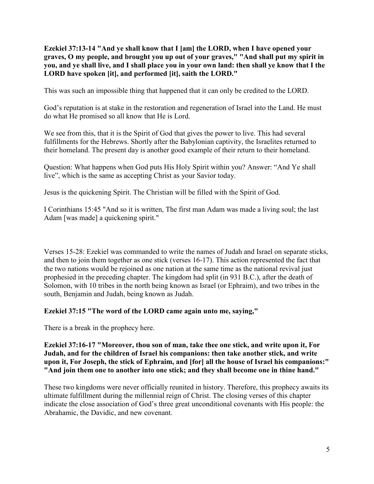**Ezekiel 37:13-14 "And ye shall know that I [am] the LORD, when I have opened your graves, O my people, and brought you up out of your graves," "And shall put my spirit in you, and ye shall live, and I shall place you in your own land: then shall ye know that I the LORD have spoken [it], and performed [it], saith the LORD."**

This was such an impossible thing that happened that it can only be credited to the LORD.

God's reputation is at stake in the restoration and regeneration of Israel into the Land. He must do what He promised so all know that He is Lord.

We see from this, that it is the Spirit of God that gives the power to live. This had several fulfillments for the Hebrews. Shortly after the Babylonian captivity, the Israelites returned to their homeland. The present day is another good example of their return to their homeland.

Question: What happens when God puts His Holy Spirit within you? Answer: "And Ye shall live", which is the same as accepting Christ as your Savior today.

Jesus is the quickening Spirit. The Christian will be filled with the Spirit of God.

I Corinthians 15:45 "And so it is written, The first man Adam was made a living soul; the last Adam [was made] a quickening spirit."

Verses 15-28: Ezekiel was commanded to write the names of Judah and Israel on separate sticks, and then to join them together as one stick (verses 16-17). This action represented the fact that the two nations would be rejoined as one nation at the same time as the national revival just prophesied in the preceding chapter. The kingdom had split (in 931 B.C.), after the death of Solomon, with 10 tribes in the north being known as Israel (or Ephraim), and two tribes in the south, Benjamin and Judah, being known as Judah.

#### **Ezekiel 37:15 "The word of the LORD came again unto me, saying,"**

There is a break in the prophecy here.

## **Ezekiel 37:16-17 "Moreover, thou son of man, take thee one stick, and write upon it, For Judah, and for the children of Israel his companions: then take another stick, and write upon it, For Joseph, the stick of Ephraim, and [for] all the house of Israel his companions:" "And join them one to another into one stick; and they shall become one in thine hand."**

These two kingdoms were never officially reunited in history. Therefore, this prophecy awaits its ultimate fulfillment during the millennial reign of Christ. The closing verses of this chapter indicate the close association of God's three great unconditional covenants with His people: the Abrahamic, the Davidic, and new covenant.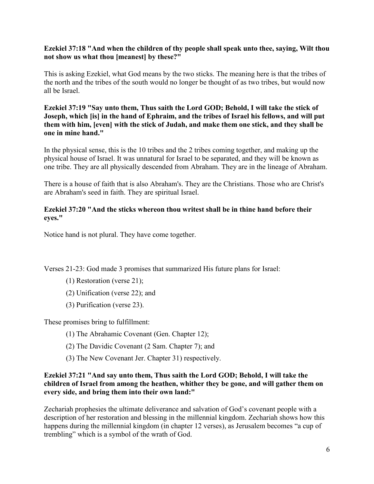## **Ezekiel 37:18 "And when the children of thy people shall speak unto thee, saying, Wilt thou not show us what thou [meanest] by these?"**

This is asking Ezekiel, what God means by the two sticks. The meaning here is that the tribes of the north and the tribes of the south would no longer be thought of as two tribes, but would now all be Israel.

## **Ezekiel 37:19 "Say unto them, Thus saith the Lord GOD; Behold, I will take the stick of Joseph, which [is] in the hand of Ephraim, and the tribes of Israel his fellows, and will put them with him, [even] with the stick of Judah, and make them one stick, and they shall be one in mine hand."**

In the physical sense, this is the 10 tribes and the 2 tribes coming together, and making up the physical house of Israel. It was unnatural for Israel to be separated, and they will be known as one tribe. They are all physically descended from Abraham. They are in the lineage of Abraham.

There is a house of faith that is also Abraham's. They are the Christians. Those who are Christ's are Abraham's seed in faith. They are spiritual Israel.

## **Ezekiel 37:20 "And the sticks whereon thou writest shall be in thine hand before their eyes."**

Notice hand is not plural. They have come together.

Verses 21-23: God made 3 promises that summarized His future plans for Israel:

- (1) Restoration (verse 21);
- (2) Unification (verse 22); and
- (3) Purification (verse 23).

These promises bring to fulfillment:

- (1) The Abrahamic Covenant (Gen. Chapter 12);
- (2) The Davidic Covenant (2 Sam. Chapter 7); and
- (3) The New Covenant Jer. Chapter 31) respectively.

## **Ezekiel 37:21 "And say unto them, Thus saith the Lord GOD; Behold, I will take the children of Israel from among the heathen, whither they be gone, and will gather them on every side, and bring them into their own land:"**

Zechariah prophesies the ultimate deliverance and salvation of God's covenant people with a description of her restoration and blessing in the millennial kingdom. Zechariah shows how this happens during the millennial kingdom (in chapter 12 verses), as Jerusalem becomes "a cup of trembling" which is a symbol of the wrath of God.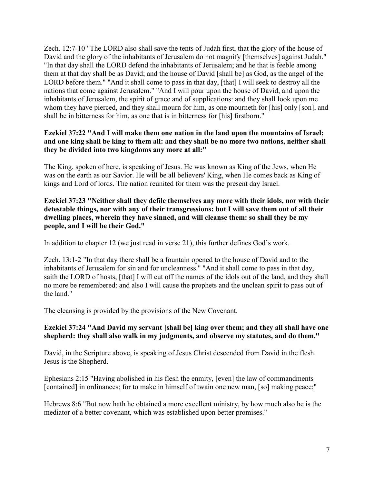Zech. 12:7-10 "The LORD also shall save the tents of Judah first, that the glory of the house of David and the glory of the inhabitants of Jerusalem do not magnify [themselves] against Judah." "In that day shall the LORD defend the inhabitants of Jerusalem; and he that is feeble among them at that day shall be as David; and the house of David [shall be] as God, as the angel of the LORD before them." "And it shall come to pass in that day, [that] I will seek to destroy all the nations that come against Jerusalem." "And I will pour upon the house of David, and upon the inhabitants of Jerusalem, the spirit of grace and of supplications: and they shall look upon me whom they have pierced, and they shall mourn for him, as one mourneth for [his] only [son], and shall be in bitterness for him, as one that is in bitterness for [his] firstborn."

## **Ezekiel 37:22 "And I will make them one nation in the land upon the mountains of Israel; and one king shall be king to them all: and they shall be no more two nations, neither shall they be divided into two kingdoms any more at all:"**

The King, spoken of here, is speaking of Jesus. He was known as King of the Jews, when He was on the earth as our Savior. He will be all believers' King, when He comes back as King of kings and Lord of lords. The nation reunited for them was the present day Israel.

**Ezekiel 37:23 "Neither shall they defile themselves any more with their idols, nor with their detestable things, nor with any of their transgressions: but I will save them out of all their dwelling places, wherein they have sinned, and will cleanse them: so shall they be my people, and I will be their God."**

In addition to chapter 12 (we just read in verse 21), this further defines God's work.

Zech. 13:1-2 "In that day there shall be a fountain opened to the house of David and to the inhabitants of Jerusalem for sin and for uncleanness." "And it shall come to pass in that day, saith the LORD of hosts, [that] I will cut off the names of the idols out of the land, and they shall no more be remembered: and also I will cause the prophets and the unclean spirit to pass out of the land."

The cleansing is provided by the provisions of the New Covenant.

## **Ezekiel 37:24 "And David my servant [shall be] king over them; and they all shall have one shepherd: they shall also walk in my judgments, and observe my statutes, and do them."**

David, in the Scripture above, is speaking of Jesus Christ descended from David in the flesh. Jesus is the Shepherd.

Ephesians 2:15 "Having abolished in his flesh the enmity, [even] the law of commandments [contained] in ordinances; for to make in himself of twain one new man, [so] making peace;"

Hebrews 8:6 "But now hath he obtained a more excellent ministry, by how much also he is the mediator of a better covenant, which was established upon better promises."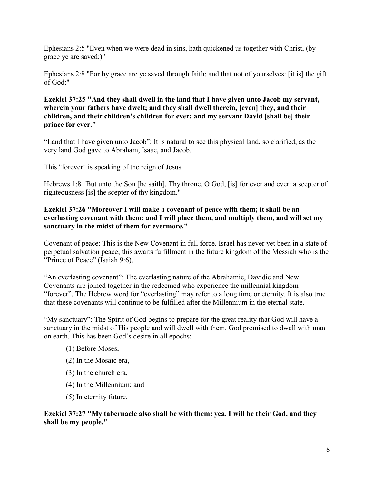Ephesians 2:5 "Even when we were dead in sins, hath quickened us together with Christ, (by grace ye are saved;)"

Ephesians 2:8 "For by grace are ye saved through faith; and that not of yourselves: [it is] the gift of God:"

## **Ezekiel 37:25 "And they shall dwell in the land that I have given unto Jacob my servant, wherein your fathers have dwelt; and they shall dwell therein, [even] they, and their children, and their children's children for ever: and my servant David [shall be] their prince for ever."**

"Land that I have given unto Jacob": It is natural to see this physical land, so clarified, as the very land God gave to Abraham, Isaac, and Jacob.

This "forever" is speaking of the reign of Jesus.

Hebrews 1:8 "But unto the Son [he saith], Thy throne, O God, [is] for ever and ever: a scepter of righteousness [is] the scepter of thy kingdom."

## **Ezekiel 37:26 "Moreover I will make a covenant of peace with them; it shall be an everlasting covenant with them: and I will place them, and multiply them, and will set my sanctuary in the midst of them for evermore."**

Covenant of peace: This is the New Covenant in full force. Israel has never yet been in a state of perpetual salvation peace; this awaits fulfillment in the future kingdom of the Messiah who is the "Prince of Peace" (Isaiah 9:6).

"An everlasting covenant": The everlasting nature of the Abrahamic, Davidic and New Covenants are joined together in the redeemed who experience the millennial kingdom "forever". The Hebrew word for "everlasting" may refer to a long time or eternity. It is also true that these covenants will continue to be fulfilled after the Millennium in the eternal state.

"My sanctuary": The Spirit of God begins to prepare for the great reality that God will have a sanctuary in the midst of His people and will dwell with them. God promised to dwell with man on earth. This has been God's desire in all epochs:

- (1) Before Moses,
- (2) In the Mosaic era,
- (3) In the church era,
- (4) In the Millennium; and
- (5) In eternity future.

## **Ezekiel 37:27 "My tabernacle also shall be with them: yea, I will be their God, and they shall be my people."**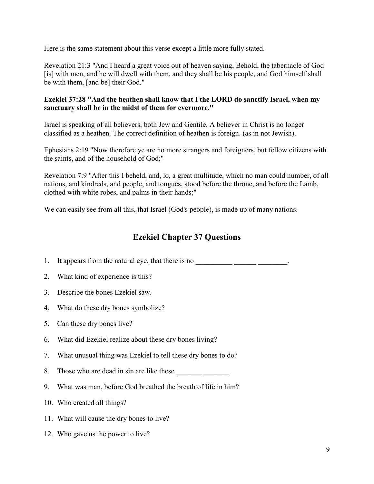Here is the same statement about this verse except a little more fully stated.

Revelation 21:3 "And I heard a great voice out of heaven saying, Behold, the tabernacle of God [is] with men, and he will dwell with them, and they shall be his people, and God himself shall be with them, [and be] their God."

## **Ezekiel 37:28 "And the heathen shall know that I the LORD do sanctify Israel, when my sanctuary shall be in the midst of them for evermore."**

Israel is speaking of all believers, both Jew and Gentile. A believer in Christ is no longer classified as a heathen. The correct definition of heathen is foreign. (as in not Jewish).

Ephesians 2:19 "Now therefore ye are no more strangers and foreigners, but fellow citizens with the saints, and of the household of God;"

Revelation 7:9 "After this I beheld, and, lo, a great multitude, which no man could number, of all nations, and kindreds, and people, and tongues, stood before the throne, and before the Lamb, clothed with white robes, and palms in their hands;"

We can easily see from all this, that Israel (God's people), is made up of many nations.

## **Ezekiel Chapter 37 Questions**

- 1. It appears from the natural eye, that there is no  $\frac{1}{\sqrt{1-\frac{1}{n}}}\frac{1}{\sqrt{1-\frac{1}{n}}}\frac{1}{\sqrt{1-\frac{1}{n}}}\frac{1}{\sqrt{1-\frac{1}{n}}}\frac{1}{\sqrt{1-\frac{1}{n}}}\frac{1}{\sqrt{1-\frac{1}{n}}}\frac{1}{\sqrt{1-\frac{1}{n}}}\frac{1}{\sqrt{1-\frac{1}{n}}}\frac{1}{\sqrt{1-\frac{1}{n}}}\frac{1}{\sqrt{1-\frac{1}{n}}}\frac{1}{\sqrt$
- 2. What kind of experience is this?
- 3. Describe the bones Ezekiel saw.
- 4. What do these dry bones symbolize?
- 5. Can these dry bones live?
- 6. What did Ezekiel realize about these dry bones living?
- 7. What unusual thing was Ezekiel to tell these dry bones to do?
- 8. Those who are dead in sin are like these
- 9. What was man, before God breathed the breath of life in him?
- 10. Who created all things?
- 11. What will cause the dry bones to live?
- 12. Who gave us the power to live?